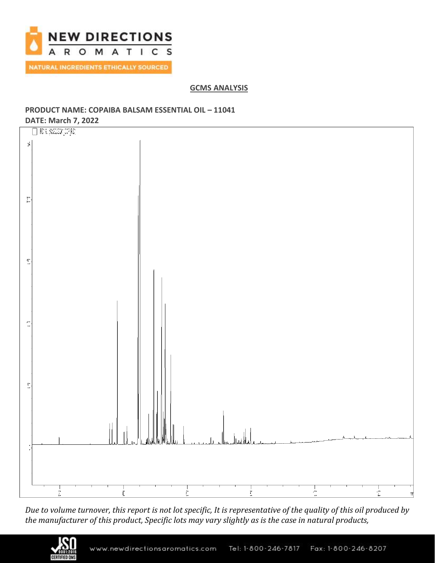

**GCMS ANALYSIS**

# **PRODUCT NAME: COPAIBA BALSAM ESSENTIAL OIL – 11041**



*Due to volume turnover, this report is not lot specific, It is representative of the quality of this oil produced by the manufacturer of this product, Specific lots may vary slightly as is the case in natural products,*

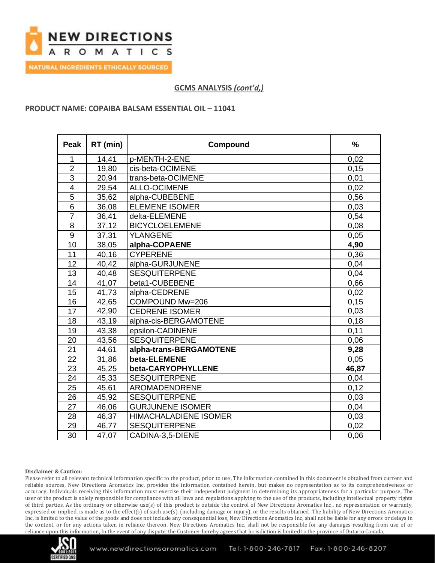

# **GCMS ANALYSIS** *(cont'd,)*

## **PRODUCT NAME: COPAIBA BALSAM ESSENTIAL OIL – 11041**

| <b>Peak</b>             | RT (min) | Compound                     | $\frac{9}{6}$ |
|-------------------------|----------|------------------------------|---------------|
| 1                       | 14,41    | p-MENTH-2-ENE                | 0,02          |
| $\overline{2}$          | 19,80    | cis-beta-OCIMENE             | 0,15          |
| $\overline{3}$          | 20,94    | trans-beta-OCIMENE           | 0,01          |
| $\overline{\mathbf{4}}$ | 29,54    | <b>ALLO-OCIMENE</b>          | 0,02          |
| 5                       | 35,62    | alpha-CUBEBENE               | 0,56          |
| 6                       | 36,08    | <b>ELEMENE ISOMER</b>        | 0,03          |
| $\overline{7}$          | 36,41    | delta-ELEMENE                | 0,54          |
| 8                       | 37,12    | <b>BICYCLOELEMENE</b>        | 0,08          |
| 9                       | 37,31    | <b>YLANGENE</b>              | 0,05          |
| 10                      | 38,05    | alpha-COPAENE                | 4,90          |
| 11                      | 40,16    | <b>CYPERENE</b>              | 0,36          |
| 12                      | 40,42    | alpha-GURJUNENE              | 0,04          |
| 13                      | 40,48    | <b>SESQUITERPENE</b>         | 0,04          |
| $\overline{14}$         | 41,07    | beta1-CUBEBENE               | 0,66          |
| 15                      | 41,73    | alpha-CEDRENE                | 0,02          |
| 16                      | 42,65    | COMPOUND Mw=206              | 0,15          |
| 17                      | 42,90    | <b>CEDRENE ISOMER</b>        | 0,03          |
| 18                      | 43,19    | alpha-cis-BERGAMOTENE        | 0,18          |
| 19                      | 43,38    | epsilon-CADINENE             | 0,11          |
| 20                      | 43,56    | <b>SESQUITERPENE</b>         | 0,06          |
| 21                      | 44,61    | alpha-trans-BERGAMOTENE      | 9,28          |
| 22                      | 31,86    | beta-ELEMENE                 | 0,05          |
| 23                      | 45,25    | beta-CARYOPHYLLENE           | 46,87         |
| 24                      | 45,33    | <b>SESQUITERPENE</b>         | 0,04          |
| 25                      | 45,61    | AROMADENDRENE                | 0,12          |
| 26                      | 45,92    | <b>SESQUITERPENE</b>         | 0,03          |
| 27                      | 46,06    | <b>GURJUNENE ISOMER</b>      | 0,04          |
| 28                      | 46,37    | <b>HIMACHALADIENE ISOMER</b> | 0,03          |
| 29                      | 46,77    | <b>SESQUITERPENE</b>         | 0,02          |
| 30                      | 47,07    | CADINA-3,5-DIENE             | 0,06          |

#### **Disclaimer & Caution:**

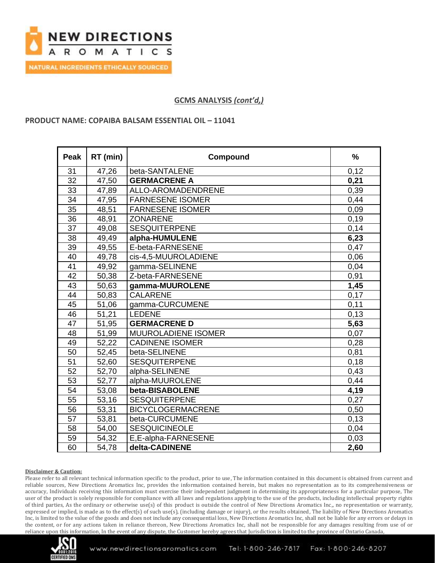

# **GCMS ANALYSIS** *(cont'd,)*

### **PRODUCT NAME: COPAIBA BALSAM ESSENTIAL OIL – 11041**

| <b>Peak</b>     | RT (min) | Compound                 | %    |
|-----------------|----------|--------------------------|------|
| 31              | 47,26    | beta-SANTALENE           | 0,12 |
| $\overline{32}$ | 47,50    | <b>GERMACRENE A</b>      | 0,21 |
| 33              | 47,89    | ALLO-AROMADENDRENE       | 0,39 |
| 34              | 47,95    | <b>FARNESENE ISOMER</b>  | 0,44 |
| 35              | 48,51    | <b>FARNESENE ISOMER</b>  | 0,09 |
| 36              | 48,91    | <b>ZONARENE</b>          | 0,19 |
| 37              | 49,08    | <b>SESQUITERPENE</b>     | 0,14 |
| 38              | 49,49    | alpha-HUMULENE           | 6,23 |
| 39              | 49,55    | E-beta-FARNESENE         | 0,47 |
| $\overline{40}$ | 49,78    | cis-4,5-MUUROLADIENE     | 0,06 |
| 41              | 49,92    | gamma-SELINENE           | 0,04 |
| 42              | 50,38    | Z-beta-FARNESENE         | 0,91 |
| 43              | 50,63    | gamma-MUUROLENE          | 1,45 |
| 44              | 50,83    | <b>CALARENE</b>          | 0,17 |
| 45              | 51,06    | gamma-CURCUMENE          | 0,11 |
| 46              | 51,21    | <b>LEDENE</b>            | 0,13 |
| 47              | 51,95    | <b>GERMACRENE D</b>      | 5,63 |
| 48              | 51,99    | MUUROLADIENE ISOMER      | 0,07 |
| 49              | 52,22    | <b>CADINENE ISOMER</b>   | 0,28 |
| 50              | 52,45    | beta-SELINENE            | 0,81 |
| 51              | 52,60    | <b>SESQUITERPENE</b>     | 0,18 |
| 52              | 52,70    | alpha-SELINENE           | 0,43 |
| 53              | 52,77    | alpha-MUUROLENE          | 0,44 |
| 54              | 53,08    | beta-BISABOLENE          | 4,19 |
| 55              | 53,16    | <b>SESQUITERPENE</b>     | 0,27 |
| 56              | 53,31    | <b>BICYCLOGERMACRENE</b> | 0,50 |
| 57              | 53,81    | beta-CURCUMENE           | 0,13 |
| 58              | 54,00    | <b>SESQUICINEOLE</b>     | 0,04 |
| 59              | 54,32    | E,E-alpha-FARNESENE      | 0,03 |
| 60              | 54,78    | delta-CADINENE           | 2,60 |

#### **Disclaimer & Caution:**

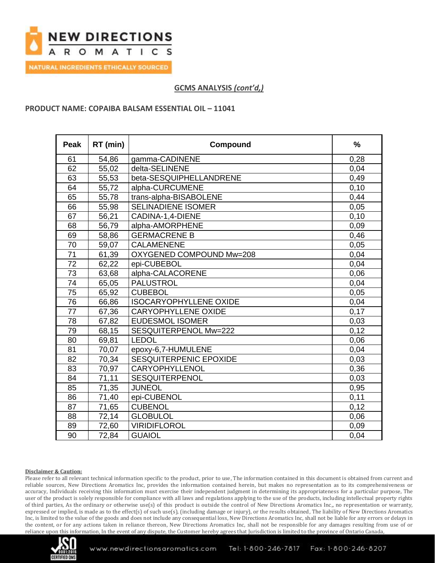

**NATURAL INGREDIENTS ETHICALLY SOURCED** 

# **GCMS ANALYSIS** *(cont'd,)*

## **PRODUCT NAME: COPAIBA BALSAM ESSENTIAL OIL – 11041**

| <b>Peak</b>     | RT (min) | Compound                      | $\frac{0}{0}$ |
|-----------------|----------|-------------------------------|---------------|
| 61              | 54,86    | gamma-CADINENE                | 0,28          |
| 62              | 55,02    | delta-SELINENE                | 0.04          |
| 63              | 55,53    | beta-SESQUIPHELLANDRENE       | 0,49          |
| 64              | 55,72    | alpha-CURCUMENE               | 0,10          |
| 65              | 55,78    | trans-alpha-BISABOLENE        | 0,44          |
| 66              | 55,98    | <b>SELINADIENE ISOMER</b>     | 0,05          |
| 67              | 56,21    | CADINA-1,4-DIENE              | 0,10          |
| 68              | 56,79    | alpha-AMORPHENE               | 0,09          |
| 69              | 58,86    | <b>GERMACRENE B</b>           | 0,46          |
| 70              | 59,07    | <b>CALAMENENE</b>             | 0,05          |
| $\overline{71}$ | 61,39    | OXYGENED COMPOUND Mw=208      | 0,04          |
| 72              | 62,22    | epi-CUBEBOL                   | 0,04          |
| 73              | 63,68    | alpha-CALACORENE              | 0,06          |
| $\overline{74}$ | 65,05    | <b>PALUSTROL</b>              | 0,04          |
| 75              | 65,92    | <b>CUBEBOL</b>                | 0,05          |
| 76              | 66,86    | <b>ISOCARYOPHYLLENE OXIDE</b> | 0,04          |
| 77              | 67,36    | <b>CARYOPHYLLENE OXIDE</b>    | 0,17          |
| 78              | 67,82    | <b>EUDESMOL ISOMER</b>        | 0,03          |
| 79              | 68,15    | SESQUITERPENOL Mw=222         | 0,12          |
| 80              | 69,81    | <b>LEDOL</b>                  | 0,06          |
| 81              | 70,07    | epoxy-6,7-HUMULENE            | 0,04          |
| 82              | 70,34    | SESQUITERPENIC EPOXIDE        | 0,03          |
| 83              | 70,97    | CARYOPHYLLENOL                | 0,36          |
| 84              | 71,11    | SESQUITERPENOL                | 0,03          |
| 85              | 71,35    | <b>JUNEOL</b>                 | 0,95          |
| 86              | 71,40    | epi-CUBENOL                   | 0,11          |
| 87              | 71,65    | <b>CUBENOL</b>                | 0,12          |
| 88              | 72,14    | <b>GLOBULOL</b>               | 0,06          |
| 89              | 72,60    | <b>VIRIDIFLOROL</b>           | 0,09          |
| 90              | 72,84    | <b>GUAIOL</b>                 | 0,04          |

#### **Disclaimer & Caution:**

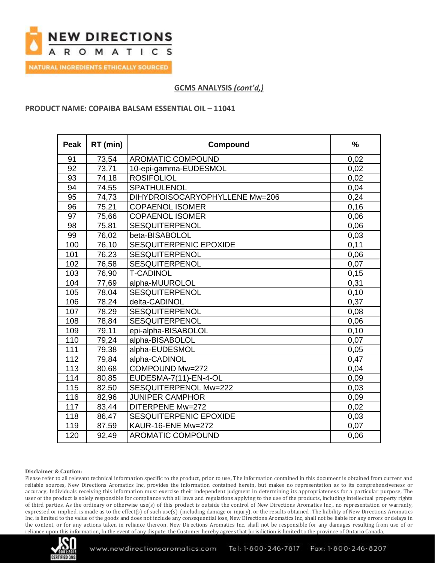

**NATURAL INGREDIENTS ETHICALLY SOURCED** 

# **GCMS ANALYSIS** *(cont'd,)*

## **PRODUCT NAME: COPAIBA BALSAM ESSENTIAL OIL – 11041**

| <b>Peak</b> | RT (min) | Compound                       | %     |
|-------------|----------|--------------------------------|-------|
| 91          | 73,54    | <b>AROMATIC COMPOUND</b>       | 0,02  |
| 92          | 73,71    | 10-epi-gamma-EUDESMOL          | 0,02  |
| 93          | 74,18    | <b>ROSIFOLIOL</b>              | 0,02  |
| 94          | 74,55    | SPATHULENOL                    | 0,04  |
| 95          | 74,73    | DIHYDROISOCARYOPHYLLENE Mw=206 | 0,24  |
| 96          | 75,21    | <b>COPAENOL ISOMER</b>         | 0,16  |
| 97          | 75,66    | <b>COPAENOL ISOMER</b>         | 0,06  |
| 98          | 75,81    | <b>SESQUITERPENOL</b>          | 0,06  |
| 99          | 76,02    | beta-BISABOLOL                 | 0,03  |
| 100         | 76,10    | <b>SESQUITERPENIC EPOXIDE</b>  | 0,11  |
| 101         | 76,23    | <b>SESQUITERPENOL</b>          | 0,06  |
| 102         | 76,58    | <b>SESQUITERPENOL</b>          | 0,07  |
| 103         | 76,90    | <b>T-CADINOL</b>               | 0,15  |
| 104         | 77,69    | alpha-MUUROLOL                 | 0,31  |
| 105         | 78,04    | <b>SESQUITERPENOL</b>          | 0, 10 |
| 106         | 78,24    | delta-CADINOL                  | 0,37  |
| 107         | 78,29    | SESQUITERPENOL                 | 0,08  |
| 108         | 78,84    | <b>SESQUITERPENOL</b>          | 0,06  |
| 109         | 79,11    | epi-alpha-BISABOLOL            | 0,10  |
| 110         | 79,24    | alpha-BISABOLOL                | 0,07  |
| 111         | 79,38    | alpha-EUDESMOL                 | 0,05  |
| 112         | 79,84    | alpha-CADINOL                  | 0,47  |
| 113         | 80,68    | COMPOUND Mw=272                | 0,04  |
| 114         | 80,85    | EUDESMA-7(11)-EN-4-OL          | 0,09  |
| 115         | 82,50    | SESQUITERPENOL Mw=222          | 0,03  |
| 116         | 82,96    | <b>JUNIPER CAMPHOR</b>         | 0,09  |
| 117         | 83,44    | DITERPENE Mw=272               | 0,02  |
| 118         | 86,47    | SESQUITERPENIC EPOXIDE         | 0,03  |
| 119         | 87,59    | KAUR-16-ENE Mw=272             | 0,07  |
| 120         | 92,49    | <b>AROMATIC COMPOUND</b>       | 0,06  |

#### **Disclaimer & Caution:**